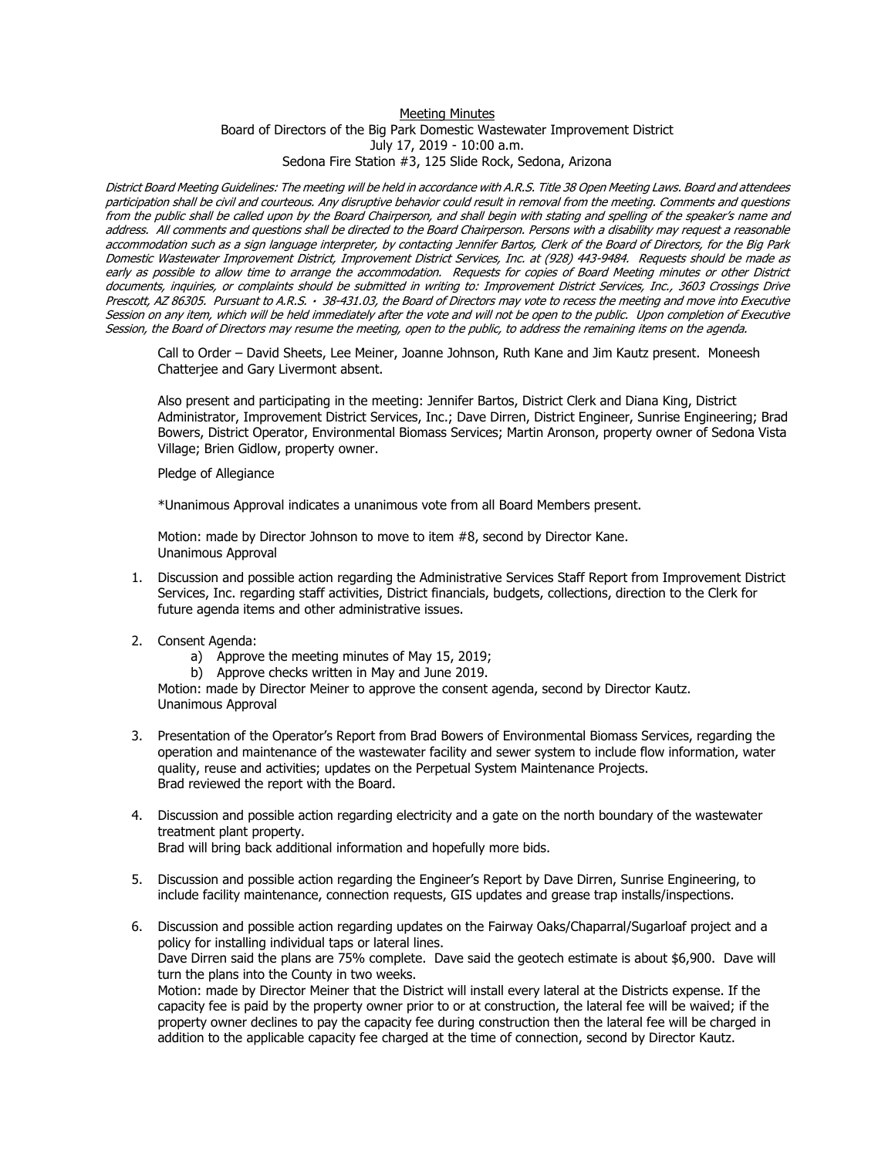## Meeting Minutes Board of Directors of the Big Park Domestic Wastewater Improvement District July 17, 2019 - 10:00 a.m. Sedona Fire Station #3, 125 Slide Rock, Sedona, Arizona

District Board Meeting Guidelines: The meeting will be held in accordance with A.R.S. Title 38 Open Meeting Laws. Board and attendees participation shall be civil and courteous. Any disruptive behavior could result in removal from the meeting. Comments and questions from the public shall be called upon by the Board Chairperson, and shall begin with stating and spelling of the speaker's name and address. All comments and questions shall be directed to the Board Chairperson. Persons with a disability may request a reasonable accommodation such as a sign language interpreter, by contacting Jennifer Bartos, Clerk of the Board of Directors, for the Big Park Domestic Wastewater Improvement District, Improvement District Services, Inc. at (928) 443-9484. Requests should be made as early as possible to allow time to arrange the accommodation. Requests for copies of Board Meeting minutes or other District documents, inquiries, or complaints should be submitted in writing to: Improvement District Services, Inc., 3603 Crossings Drive Prescott, AZ 86305. Pursuant to A.R.S. 38-431.03, the Board of Directors may vote to recess the meeting and move into Executive Session on any item, which will be held immediately after the vote and will not be open to the public. Upon completion of Executive Session, the Board of Directors may resume the meeting, open to the public, to address the remaining items on the agenda.

Call to Order – David Sheets, Lee Meiner, Joanne Johnson, Ruth Kane and Jim Kautz present. Moneesh Chatterjee and Gary Livermont absent.

Also present and participating in the meeting: Jennifer Bartos, District Clerk and Diana King, District Administrator, Improvement District Services, Inc.; Dave Dirren, District Engineer, Sunrise Engineering; Brad Bowers, District Operator, Environmental Biomass Services; Martin Aronson, property owner of Sedona Vista Village; Brien Gidlow, property owner.

Pledge of Allegiance

\*Unanimous Approval indicates a unanimous vote from all Board Members present.

Motion: made by Director Johnson to move to item #8, second by Director Kane. Unanimous Approval

- 1. Discussion and possible action regarding the Administrative Services Staff Report from Improvement District Services, Inc. regarding staff activities, District financials, budgets, collections, direction to the Clerk for future agenda items and other administrative issues.
- 2. Consent Agenda:
	- a) Approve the meeting minutes of May 15, 2019;
	- b) Approve checks written in May and June 2019.

Motion: made by Director Meiner to approve the consent agenda, second by Director Kautz. Unanimous Approval

- 3. Presentation of the Operator's Report from Brad Bowers of Environmental Biomass Services, regarding the operation and maintenance of the wastewater facility and sewer system to include flow information, water quality, reuse and activities; updates on the Perpetual System Maintenance Projects. Brad reviewed the report with the Board.
- 4. Discussion and possible action regarding electricity and a gate on the north boundary of the wastewater treatment plant property. Brad will bring back additional information and hopefully more bids.
- 5. Discussion and possible action regarding the Engineer's Report by Dave Dirren, Sunrise Engineering, to include facility maintenance, connection requests, GIS updates and grease trap installs/inspections.
- 6. Discussion and possible action regarding updates on the Fairway Oaks/Chaparral/Sugarloaf project and a policy for installing individual taps or lateral lines. Dave Dirren said the plans are 75% complete. Dave said the geotech estimate is about \$6,900. Dave will

turn the plans into the County in two weeks. Motion: made by Director Meiner that the District will install every lateral at the Districts expense. If the

capacity fee is paid by the property owner prior to or at construction, the lateral fee will be waived; if the property owner declines to pay the capacity fee during construction then the lateral fee will be charged in addition to the applicable capacity fee charged at the time of connection, second by Director Kautz.